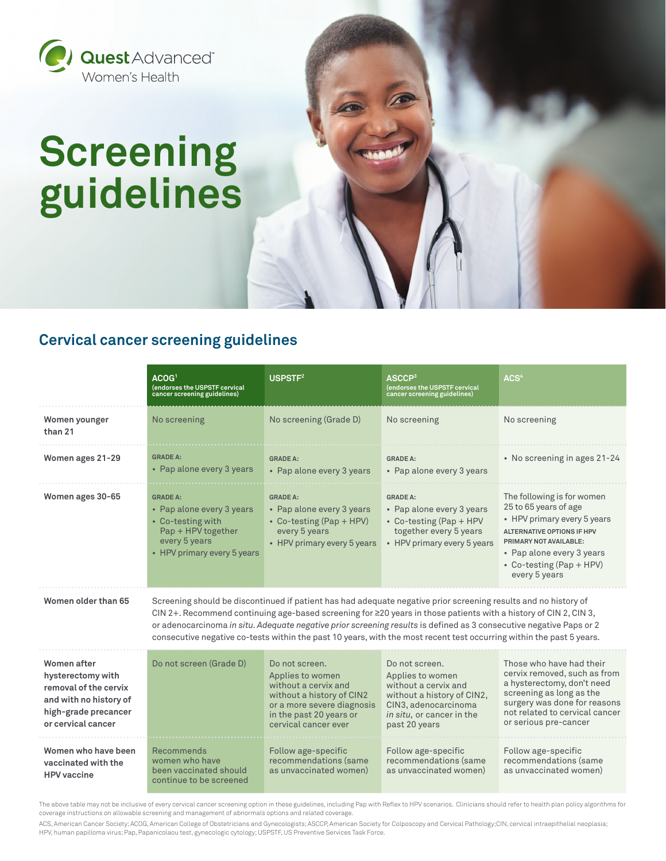

# **Screening guidelines**

### **Cervical cancer screening guidelines**

|                                                                                                                                   | ACOG1<br>(endorses the USPSTF cervical<br>cancer screening guidelines)                                                                                                                                                                                                                                                                                                                                                                                                                   | USPSTF <sup>2</sup>                                                                                                                                                      | ASCCP <sup>3</sup><br>(endorses the USPSTF cervical<br>cancer screening guidelines)                                                                            | ACS <sup>4</sup>                                                                                                                                                                                                              |  |
|-----------------------------------------------------------------------------------------------------------------------------------|------------------------------------------------------------------------------------------------------------------------------------------------------------------------------------------------------------------------------------------------------------------------------------------------------------------------------------------------------------------------------------------------------------------------------------------------------------------------------------------|--------------------------------------------------------------------------------------------------------------------------------------------------------------------------|----------------------------------------------------------------------------------------------------------------------------------------------------------------|-------------------------------------------------------------------------------------------------------------------------------------------------------------------------------------------------------------------------------|--|
| Women younger<br>than 21                                                                                                          | No screening                                                                                                                                                                                                                                                                                                                                                                                                                                                                             | No screening (Grade D)                                                                                                                                                   | No screening                                                                                                                                                   | No screening                                                                                                                                                                                                                  |  |
| Women ages 21-29                                                                                                                  | <b>GRADE A:</b><br>• Pap alone every 3 years                                                                                                                                                                                                                                                                                                                                                                                                                                             | <b>GRADE A:</b><br>• Pap alone every 3 years                                                                                                                             | <b>GRADE A:</b><br>• Pap alone every 3 years                                                                                                                   | • No screening in ages 21-24                                                                                                                                                                                                  |  |
| Women ages 30-65                                                                                                                  | <b>GRADE A:</b><br>• Pap alone every 3 years<br>• Co-testing with<br>Pap + HPV together<br>every 5 years<br>• HPV primary every 5 years                                                                                                                                                                                                                                                                                                                                                  | <b>GRADE A:</b><br>• Pap alone every 3 years<br>• Co-testing (Pap + HPV)<br>every 5 years<br>• HPV primary every 5 years                                                 | <b>GRADE A:</b><br>• Pap alone every 3 years<br>• Co-testing (Pap + HPV<br>together every 5 years<br>• HPV primary every 5 years                               | The following is for women<br>25 to 65 years of age<br>• HPV primary every 5 years<br><b>ALTERNATIVE OPTIONS IF HPV</b><br>PRIMARY NOT AVAILABLE:<br>• Pap alone every 3 years<br>• Co-testing $(Pap + HPV)$<br>every 5 years |  |
| Women older than 65                                                                                                               | Screening should be discontinued if patient has had adequate negative prior screening results and no history of<br>CIN 2+. Recommend continuing age-based screening for $\geq$ 20 years in those patients with a history of CIN 2, CIN 3,<br>or adenocarcinoma in situ. Adequate negative prior screening results is defined as 3 consecutive negative Paps or 2<br>consecutive negative co-tests within the past 10 years, with the most recent test occurring within the past 5 years. |                                                                                                                                                                          |                                                                                                                                                                |                                                                                                                                                                                                                               |  |
| Women after<br>hysterectomy with<br>removal of the cervix<br>and with no history of<br>high-grade precancer<br>or cervical cancer | Do not screen (Grade D)                                                                                                                                                                                                                                                                                                                                                                                                                                                                  | Do not screen.<br>Applies to women<br>without a cervix and<br>without a history of CIN2<br>or a more severe diagnosis<br>in the past 20 years or<br>cervical cancer ever | Do not screen.<br>Applies to women<br>without a cervix and<br>without a history of CIN2,<br>CIN3, adenocarcinoma<br>in situ, or cancer in the<br>past 20 years | Those who have had their<br>cervix removed, such as from<br>a hysterectomy, don't need<br>screening as long as the<br>surgery was done for reasons<br>not related to cervical cancer<br>or serious pre-cancer                 |  |
| Women who have been<br>vaccinated with the<br><b>HPV</b> vaccine                                                                  | Recommends<br>women who have<br>been vaccinated should<br>continue to be screened                                                                                                                                                                                                                                                                                                                                                                                                        | Follow age-specific<br>recommendations (same<br>as unvaccinated women)                                                                                                   | Follow age-specific<br>recommendations (same<br>as unvaccinated women)                                                                                         | Follow age-specific<br>recommendations (same<br>as unvaccinated women)                                                                                                                                                        |  |

The above table may not be inclusive of every cervical cancer screening option in these guidelines, including Pap with Reflex to HPV scenarios. Clinicians should refer to health plan policy algorithms for coverage instructions on allowable screening and management of abnormals options and related coverage.

ACS, American Cancer Society; ACOG, American College of Obstetricians and Gynecologists; ASCCP, American Society for Colposcopy and Cervical Pathology;CIN, cervical intraepithelial neoplasia; HPV, human papilloma virus; Pap, Papanicolaou test, gynecologic cytology; USPSTF, US Preventive Services Task Force.